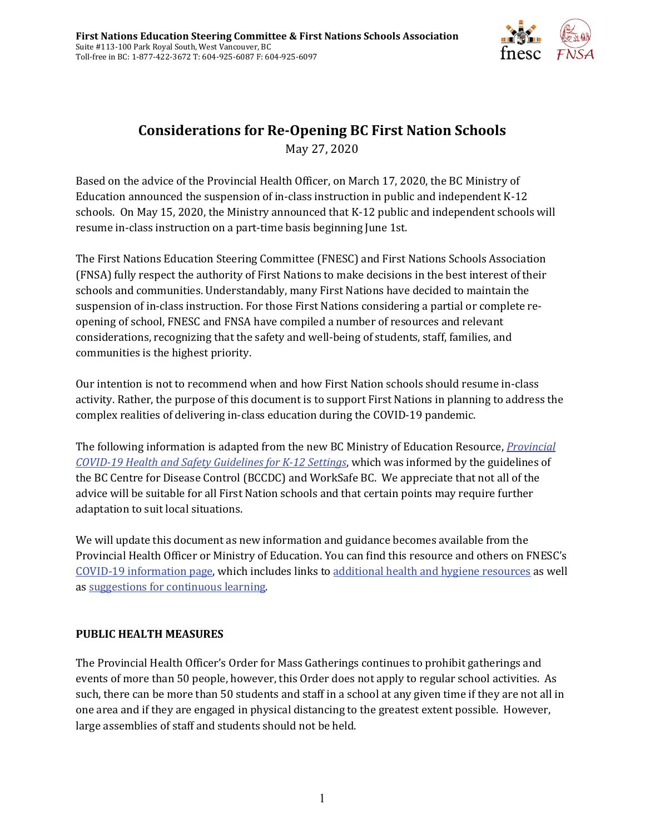

# **Considerations for Re-Opening BC First Nation Schools** May 27, 2020

Based on the advice of the Provincial Health Officer, on March 17, 2020, the BC Ministry of Education announced the suspension of in-class instruction in public and independent K-12 schools. On May 15, 2020, the Ministry announced that K-12 public and independent schools will resume in-class instruction on a part-time basis beginning June 1st.

The First Nations Education Steering Committee (FNESC) and First Nations Schools Association (FNSA) fully respect the authority of First Nations to make decisions in the best interest of their schools and communities. Understandably, many First Nations have decided to maintain the suspension of in-class instruction. For those First Nations considering a partial or complete reopening of school, FNESC and FNSA have compiled a number of resources and relevant considerations, recognizing that the safety and well-being of students, staff, families, and communities is the highest priority.

Our intention is not to recommend when and how First Nation schools should resume in-class activity. Rather, the purpose of this document is to support First Nations in planning to address the complex realities of delivering in-class education during the COVID-19 pandemic.

The following information is adapted from the new BC Ministry of Education Resource, *[Provincial](https://www2.gov.bc.ca/assets/gov/education/administration/kindergarten-to-grade-12/safe-caring-orderly/k-12-covid-19-health-safety-guidlines.pdf)  [COVID-19 Health and Safety Guidelines for K-12 Settings](https://www2.gov.bc.ca/assets/gov/education/administration/kindergarten-to-grade-12/safe-caring-orderly/k-12-covid-19-health-safety-guidlines.pdf)*, which was informed by the guidelines of the BC Centre for Disease Control (BCCDC) and WorkSafe BC. We appreciate that not all of the advice will be suitable for all First Nation schools and that certain points may require further adaptation to suit local situations.

We will update this document as new information and guidance becomes available from the Provincial Health Officer or Ministry of Education. You can find this resource and others on FNESC's [COVID-19 information page,](http://www.fnesc.ca/covid19) which includes links to [additional health and hygiene resources](http://www.fnesc.ca/covid19/health-and-hygiene/) as well a[s suggestions for continuous learning.](http://www.fnesc.ca/continuous-learning/)

#### **PUBLIC HEALTH MEASURES**

The Provincial Health Officer's Order for Mass Gatherings continues to prohibit gatherings and events of more than 50 people, however, this Order does not apply to regular school activities. As such, there can be more than 50 students and staff in a school at any given time if they are not all in one area and if they are engaged in physical distancing to the greatest extent possible. However, large assemblies of staff and students should not be held.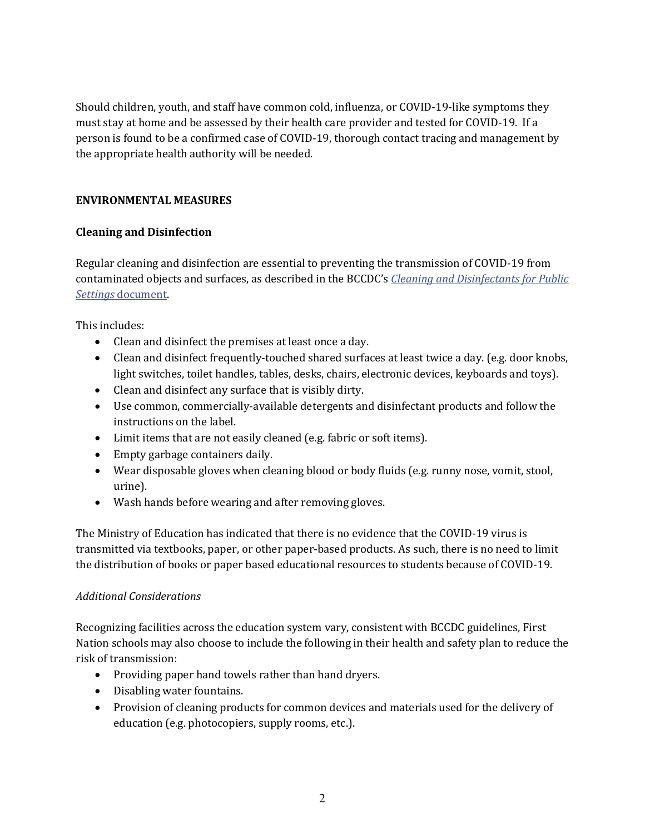Should children, youth, and staff have common cold, influenza, or COVID-19-like symptoms they must stay at home and be assessed by their health care provider and tested for COVID-19. If a person is found to be a confirmed case of COVID-19, thorough contact tracing and management by the appropriate health authority will be needed.

# **ENVIRONMENTAL MEASURES**

# **Cleaning and Disinfection**

Regular cleaning and disinfection are essential to preventing the transmission of COVID-19 from contaminated objects and surfaces, as described in the BCCDC's *[Cleaning and Disinfectants](http://www.bccdc.ca/Health-Info-Site/Documents/CleaningDisinfecting_PublicSettings.pdf) for Public Settings* [document.](http://www.bccdc.ca/Health-Info-Site/Documents/CleaningDisinfecting_PublicSettings.pdf)

This includes:

- Clean and disinfect the premises at least once a day.
- Clean and disinfect frequently-touched shared surfaces at least twice a day. (e.g. door knobs, light switches, toilet handles, tables, desks, chairs, electronic devices, keyboards and toys).
- Clean and disinfect any surface that is visibly dirty.
- Use common, commercially-available detergents and disinfectant products and follow the instructions on the label.
- Limit items that are not easily cleaned (e.g. fabric or soft items).
- Empty garbage containers daily.
- Wear disposable gloves when cleaning blood or body fluids (e.g. runny nose, vomit, stool, urine).
- Wash hands before wearing and after removing gloves.

The Ministry of Education has indicated that there is no evidence that the COVID-19 virus is transmitted via textbooks, paper, or other paper-based products. As such, there is no need to limit the distribution of books or paper based educational resources to students because of COVID-19.

#### *Additional Considerations*

Recognizing facilities across the education system vary, consistent with BCCDC guidelines, First Nation schools may also choose to include the following in their health and safety plan to reduce the risk of transmission:

- Providing paper hand towels rather than hand dryers.
- Disabling water fountains.
- Provision of cleaning products for common devices and materials used for the delivery of education (e.g. photocopiers, supply rooms, etc.).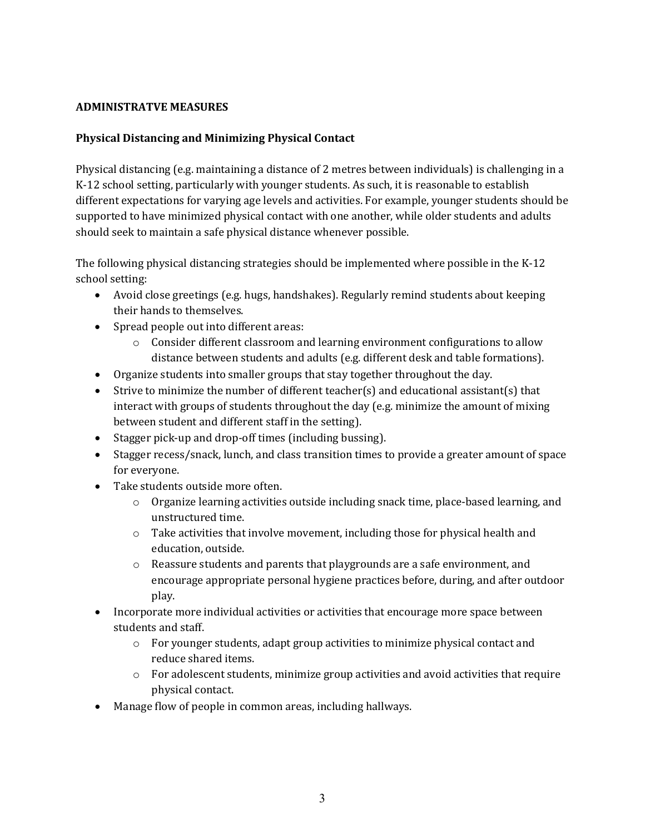#### **ADMINISTRATVE MEASURES**

# **Physical Distancing and Minimizing Physical Contact**

Physical distancing (e.g. maintaining a distance of 2 metres between individuals) is challenging in a K-12 school setting, particularly with younger students. As such, it is reasonable to establish different expectations for varying age levels and activities. For example, younger students should be supported to have minimized physical contact with one another, while older students and adults should seek to maintain a safe physical distance whenever possible.

The following physical distancing strategies should be implemented where possible in the K-12 school setting:

- Avoid close greetings (e.g. hugs, handshakes). Regularly remind students about keeping their hands to themselves.
- Spread people out into different areas:
	- $\circ$  Consider different classroom and learning environment configurations to allow distance between students and adults (e.g. different desk and table formations).
- Organize students into smaller groups that stay together throughout the day.
- Strive to minimize the number of different teacher(s) and educational assistant(s) that interact with groups of students throughout the day (e.g. minimize the amount of mixing between student and different staff in the setting).
- Stagger pick-up and drop-off times (including bussing).
- Stagger recess/snack, lunch, and class transition times to provide a greater amount of space for everyone.
- Take students outside more often.
	- $\circ$  Organize learning activities outside including snack time, place-based learning, and unstructured time.
	- $\circ$  Take activities that involve movement, including those for physical health and education, outside.
	- $\circ$  Reassure students and parents that playgrounds are a safe environment, and encourage appropriate personal hygiene practices before, during, and after outdoor play.
- Incorporate more individual activities or activities that encourage more space between students and staff.
	- o For younger students, adapt group activities to minimize physical contact and reduce shared items.
	- $\circ$  For adolescent students, minimize group activities and avoid activities that require physical contact.
- Manage flow of people in common areas, including hallways.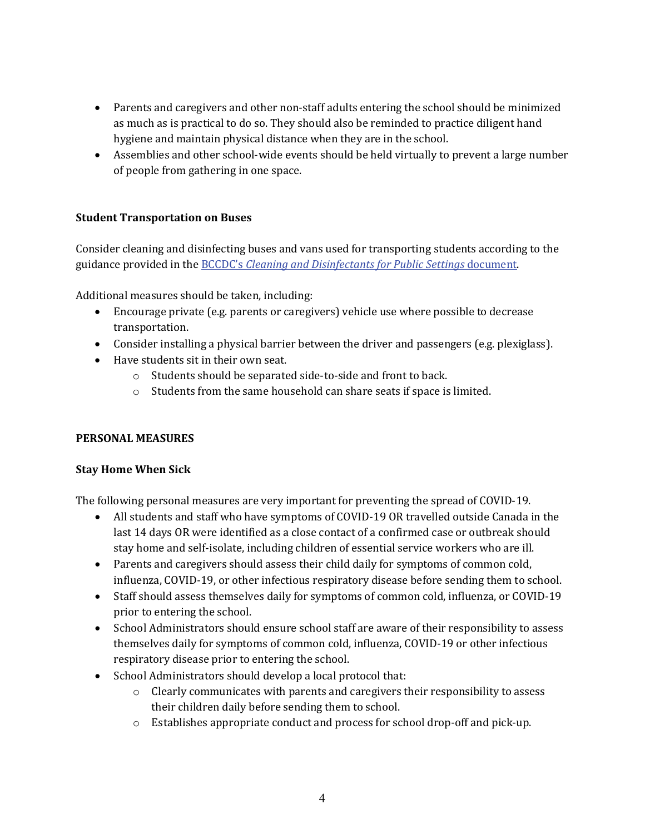- Parents and caregivers and other non-staff adults entering the school should be minimized as much as is practical to do so. They should also be reminded to practice diligent hand hygiene and maintain physical distance when they are in the school.
- Assemblies and other school-wide events should be held virtually to prevent a large number of people from gathering in one space.

# **Student Transportation on Buses**

Consider cleaning and disinfecting buses and vans used for transporting students according to the guidance provided in the BCCDC's *[Cleaning and Disinfectants for Public Settings](http://www.bccdc.ca/Health-Info-Site/Documents/CleaningDisinfecting_PublicSettings.pdf)* document.

Additional measures should be taken, including:

- Encourage private (e.g. parents or caregivers) vehicle use where possible to decrease transportation.
- Consider installing a physical barrier between the driver and passengers (e.g. plexiglass).
- Have students sit in their own seat.
	- o Students should be separated side-to-side and front to back.
	- o Students from the same household can share seats if space is limited.

#### **PERSONAL MEASURES**

#### **Stay Home When Sick**

The following personal measures are very important for preventing the spread of COVID-19.

- All students and staff who have symptoms of COVID-19 OR travelled outside Canada in the last 14 days OR were identified as a close contact of a confirmed case or outbreak should stay home and self-isolate, including children of essential service workers who are ill.
- Parents and caregivers should assess their child daily for symptoms of common cold, influenza, COVID-19, or other infectious respiratory disease before sending them to school.
- Staff should assess themselves daily for symptoms of common cold, influenza, or COVID-19 prior to entering the school.
- School Administrators should ensure school staff are aware of their responsibility to assess themselves daily for symptoms of common cold, influenza, COVID-19 or other infectious respiratory disease prior to entering the school.
- School Administrators should develop a local protocol that:
	- $\circ$  Clearly communicates with parents and caregivers their responsibility to assess their children daily before sending them to school.
	- o Establishes appropriate conduct and process for school drop-off and pick-up.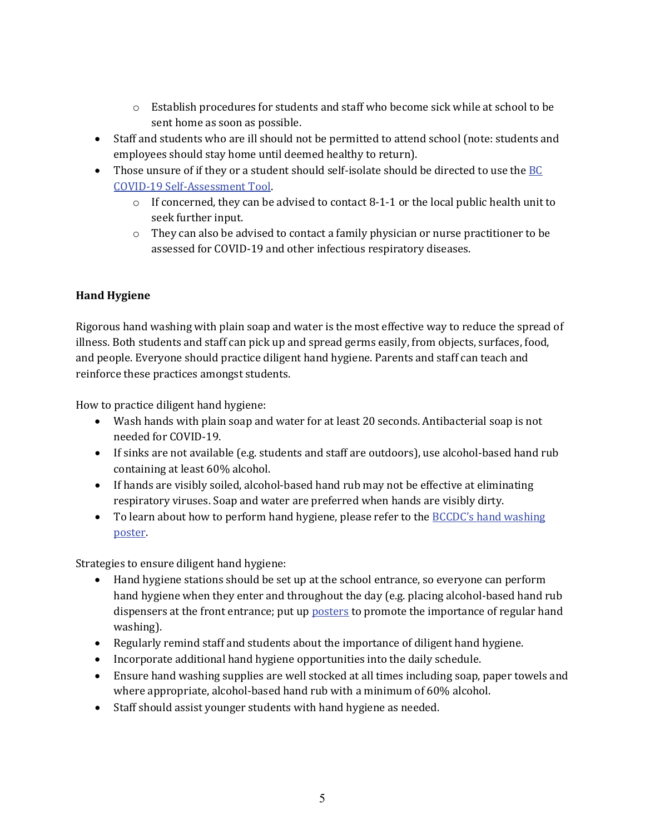- o Establish procedures for students and staff who become sick while at school to be sent home as soon as possible.
- Staff and students who are ill should not be permitted to attend school (note: students and employees should stay home until deemed healthy to return).
- Those unsure of if they or a student should self-isolate should be directed to use the BC [COVID-19 Self-Assessment Tool.](https://covid19.thrive.health/)
	- o If concerned, they can be advised to contact 8-1-1 or the local public health unit to seek further input.
	- $\circ$  They can also be advised to contact a family physician or nurse practitioner to be assessed for COVID-19 and other infectious respiratory diseases.

# **Hand Hygiene**

Rigorous hand washing with plain soap and water is the most effective way to reduce the spread of illness. Both students and staff can pick up and spread germs easily, from objects, surfaces, food, and people. Everyone should practice diligent hand hygiene. Parents and staff can teach and reinforce these practices amongst students.

How to practice diligent hand hygiene:

- Wash hands with plain soap and water for at least 20 seconds. Antibacterial soap is not needed for COVID-19.
- If sinks are not available (e.g. students and staff are outdoors), use alcohol-based hand rub containing at least 60% alcohol.
- If hands are visibly soiled, alcohol-based hand rub may not be effective at eliminating respiratory viruses. Soap and water are preferred when hands are visibly dirty.
- To learn about how to perform hand hygiene, please refer to the BCCDC's hand washing [poster.](http://www.bccdc.ca/Health-Professionals-Site/Documents/COVID19_Handwashing%20Poster_MD%20offices.pdf)

Strategies to ensure diligent hand hygiene:

- Hand hygiene stations should be set up at the school entrance, so everyone can perform hand hygiene when they enter and throughout the day (e.g. placing alcohol-based hand rub dispensers at the front entrance; put up **posters** to promote the importance of regular hand washing).
- Regularly remind staff and students about the importance of diligent hand hygiene.
- Incorporate additional hand hygiene opportunities into the daily schedule.
- Ensure hand washing supplies are well stocked at all times including soap, paper towels and where appropriate, alcohol-based hand rub with a minimum of 60% alcohol.
- Staff should assist younger students with hand hygiene as needed.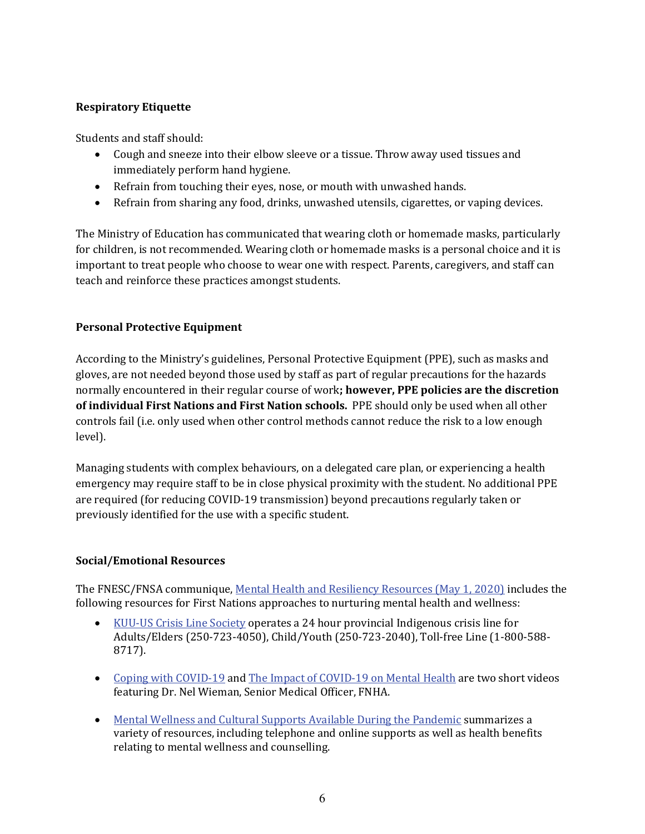# **Respiratory Etiquette**

Students and staff should:

- Cough and sneeze into their elbow sleeve or a tissue. Throw away used tissues and immediately perform hand hygiene.
- Refrain from touching their eyes, nose, or mouth with unwashed hands.
- Refrain from sharing any food, drinks, unwashed utensils, cigarettes, or vaping devices.

The Ministry of Education has communicated that wearing cloth or homemade masks, particularly for children, is not recommended. Wearing cloth or homemade masks is a personal choice and it is important to treat people who choose to wear one with respect. Parents, caregivers, and staff can teach and reinforce these practices amongst students.

# **Personal Protective Equipment**

According to the Ministry's guidelines, Personal Protective Equipment (PPE), such as masks and gloves, are not needed beyond those used by staff as part of regular precautions for the hazards normally encountered in their regular course of work**; however, PPE policies are the discretion of individual First Nations and First Nation schools.** PPE should only be used when all other controls fail (i.e. only used when other control methods cannot reduce the risk to a low enough level).

Managing students with complex behaviours, on a delegated care plan, or experiencing a health emergency may require staff to be in close physical proximity with the student. No additional PPE are required (for reducing COVID-19 transmission) beyond precautions regularly taken or previously identified for the use with a specific student.

#### **Social/Emotional Resources**

The FNESC/FNSA communique[, Mental Health and Resiliency Resources \(May 1, 2020\)](http://www.fnesc.ca/wp/wp-content/uploads/2020/05/PUBLICATION-Mental-Health-and-Resiliency-Supports-2020-05-01b.pdf) includes the following resources for First Nations approaches to nurturing mental health and wellness:

- [KUU-US Crisis Line Society](http://www.kuu-uscrisisline.ca/) operates a 24 hour provincial Indigenous crisis line for Adults/Elders (250-723-4050), Child/Youth (250-723-2040), Toll-free Line (1-800-588- 8717).
- [Coping with COVID-19](https://www.youtube.com/watch?v=VDD6kKTEDp0) and [The Impact of COVID-19 on Mental Health](https://www.youtube.com/watch?v=swGXDmJOMIM) are two short videos featuring Dr. Nel Wieman, Senior Medical Officer, FNHA.
- [Mental Wellness and Cultural Supports Available During the Pandemic](https://www.fnha.ca/Documents/FNHA-COVID-19-Mental-Health-and-Cultural-Supports.pdf) summarizes a variety of resources, including telephone and online supports as well as health benefits relating to mental wellness and counselling.